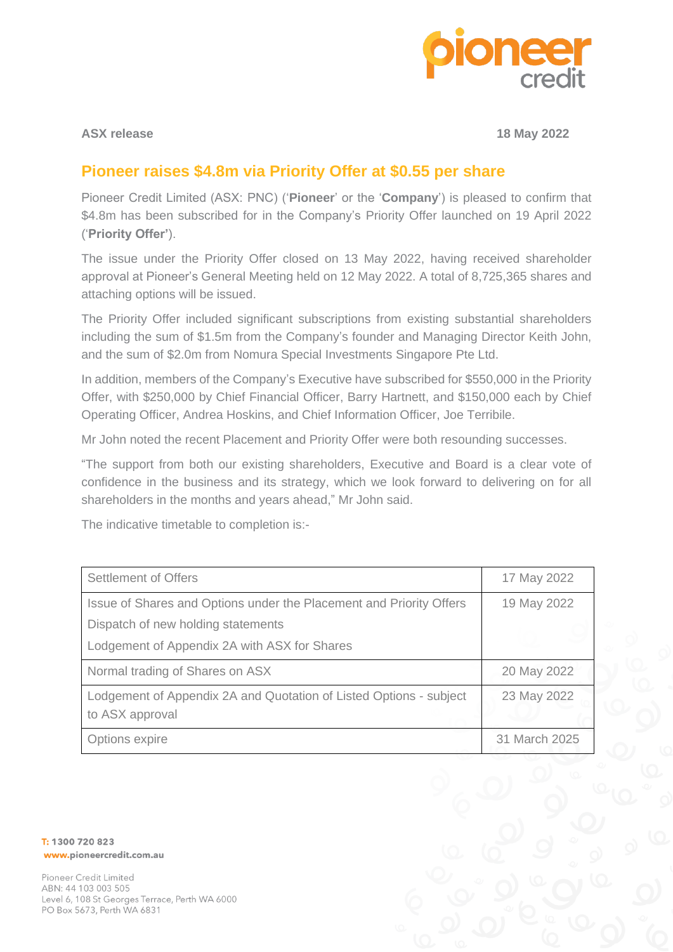

**ASX release 18 May 2022**

## **Pioneer raises \$4.8m via Priority Offer at \$0.55 per share**

Pioneer Credit Limited (ASX: PNC) ('**Pioneer**' or the '**Company**') is pleased to confirm that \$4.8m has been subscribed for in the Company's Priority Offer launched on 19 April 2022 ('**Priority Offer'**).

The issue under the Priority Offer closed on 13 May 2022, having received shareholder approval at Pioneer's General Meeting held on 12 May 2022. A total of 8,725,365 shares and attaching options will be issued.

The Priority Offer included significant subscriptions from existing substantial shareholders including the sum of \$1.5m from the Company's founder and Managing Director Keith John, and the sum of \$2.0m from Nomura Special Investments Singapore Pte Ltd.

In addition, members of the Company's Executive have subscribed for \$550,000 in the Priority Offer, with \$250,000 by Chief Financial Officer, Barry Hartnett, and \$150,000 each by Chief Operating Officer, Andrea Hoskins, and Chief Information Officer, Joe Terribile.

Mr John noted the recent Placement and Priority Offer were both resounding successes.

"The support from both our existing shareholders, Executive and Board is a clear vote of confidence in the business and its strategy, which we look forward to delivering on for all shareholders in the months and years ahead," Mr John said.

The indicative timetable to completion is:-

| <b>Settlement of Offers</b>                                                           | 17 May 2022   |
|---------------------------------------------------------------------------------------|---------------|
| Issue of Shares and Options under the Placement and Priority Offers                   | 19 May 2022   |
| Dispatch of new holding statements                                                    |               |
| Lodgement of Appendix 2A with ASX for Shares                                          |               |
| Normal trading of Shares on ASX                                                       | 20 May 2022   |
| Lodgement of Appendix 2A and Quotation of Listed Options - subject<br>to ASX approval | 23 May 2022   |
| Options expire                                                                        | 31 March 2025 |

T: 1300 720 823 www.pioneercredit.com.au

Pioneer Credit Limited ABN: 44 103 003 505 Level 6, 108 St Georges Terrace, Perth WA 6000 PO Box 5673, Perth WA 6831